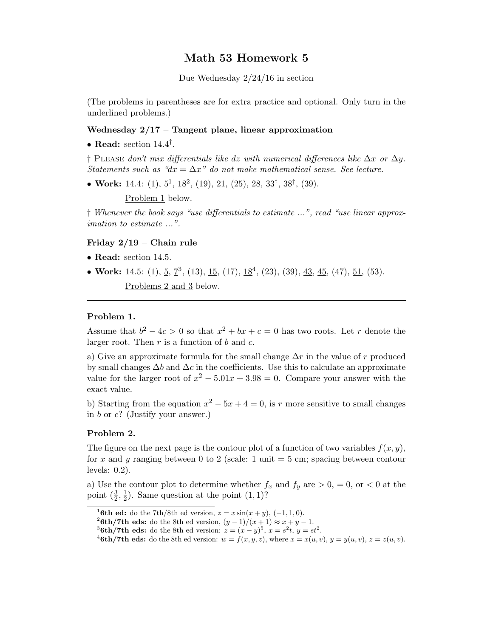# Math 53 Homework 5

Due Wednesday 2/24/16 in section

(The problems in parentheses are for extra practice and optional. Only turn in the underlined problems.)

# Wednesday  $2/17$  – Tangent plane, linear approximation

• Read: section  $14.4^{\dagger}$ .

† PLEASE don't mix differentials like dz with numerical differences like  $\Delta x$  or  $\Delta y$ . Statements such as " $dx = \Delta x$ " do not make mathematical sense. See lecture.

• Work: 14.4:  $(1), \underline{5}^1, \underline{18}^2, (19), \underline{21}, (25), \underline{28}, \underline{33}^\dagger, \underline{38}^\dagger, (39)$ .

Problem 1 below.

† Whenever the book says "use differentials to estimate ...", read "use linear approximation to estimate ...".

### Friday 2/19 – Chain rule

- Read: section 14.5.
- Work: 14.5: (1),  $\underline{5}$ ,  $\underline{7}^3$ , (13),  $\underline{15}$ , (17),  $\underline{18}^4$ , (23), (39),  $\underline{43}$ ,  $\underline{45}$ , (47),  $\underline{51}$ , (53). Problems 2 and 3 below.

# Problem 1.

Assume that  $b^2 - 4c > 0$  so that  $x^2 + bx + c = 0$  has two roots. Let r denote the larger root. Then  $r$  is a function of  $b$  and  $c$ .

a) Give an approximate formula for the small change  $\Delta r$  in the value of r produced by small changes  $\Delta b$  and  $\Delta c$  in the coefficients. Use this to calculate an approximate value for the larger root of  $x^2 - 5.01x + 3.98 = 0$ . Compare your answer with the exact value.

b) Starting from the equation  $x^2 - 5x + 4 = 0$ , is r more sensitive to small changes in  $b$  or  $c$ ? (Justify your answer.)

# Problem 2.

The figure on the next page is the contour plot of a function of two variables  $f(x, y)$ , for x and y ranging between 0 to 2 (scale: 1 unit  $=$  5 cm; spacing between contour levels: 0.2).

a) Use the contour plot to determine whether  $f_x$  and  $f_y$  are  $> 0, = 0,$  or  $< 0$  at the point  $(\frac{3}{2}, \frac{1}{2})$  $(\frac{1}{2})$ . Same question at the point  $(1,1)$ ?

<sup>&</sup>lt;sup>1</sup>6th ed: do the 7th/8th ed version,  $z = x \sin(x + y)$ , (-1, 1, 0).

<sup>&</sup>lt;sup>2</sup>6th/7th eds: do the 8th ed version,  $(y-1)/(x+1) \approx x+y-1$ .

<sup>&</sup>lt;sup>3</sup>6th/7th eds: do the 8th ed version:  $z = (x - y)^5$ ,  $x = s^2t$ ,  $y = st^2$ .

<sup>&</sup>lt;sup>4</sup>6th/7th eds: do the 8th ed version:  $w = f(x, y, z)$ , where  $x = x(u, v)$ ,  $y = y(u, v)$ ,  $z = z(u, v)$ .